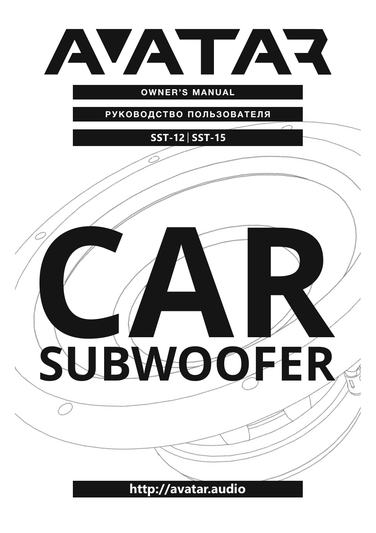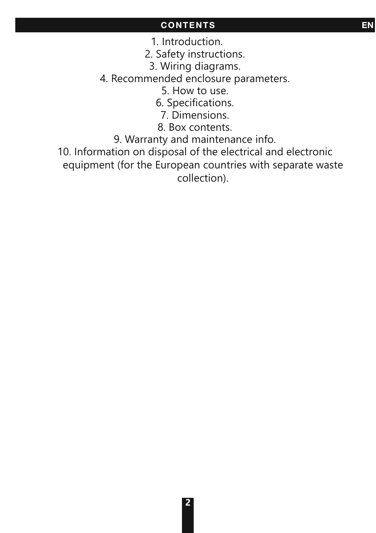## **CONTENTS EN**

1. Introduction.

2. Safety instructions.

3. Wiring diagrams.

4. Recommended enclosure parameters.

5. How to use.

6. Specifications.

7. Dimensions.

8. Box contents.

9. Warranty and maintenance info.

10. Information on disposal of the electrical and electronic equipment (for the European countries with separate waste collection).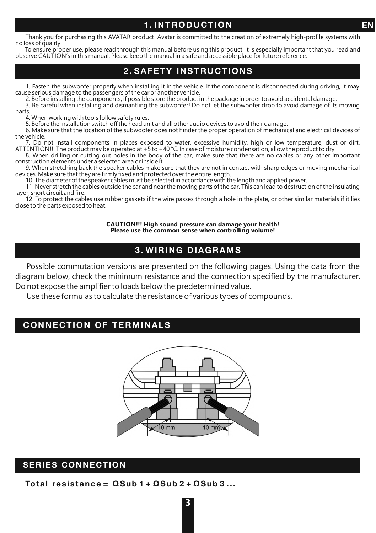#### **1. INTRODUCTION**

Thank you for purchasing this AVATAR product! Avatar is committed to the creation of extremely high-profile systems with no loss of quality.

To ensure proper use, please read through this manual before using this product. It is especially important that you read and<br>observe CAUTION's in this manual. Please keep the manual in a safe and accessible place for futu

#### **2. SAFETY INSTRUCTIONS**

1. Fasten the subwoofer properly when installing it in the vehicle. If the component is disconnected during driving, it may cause serious damage to the passengers of the car or another vehicle.

2. Before installing the components, if possible store the product in the package in order to avoid accidental damage.

3. Be careful when installing and dismantling the subwoofer! Do not let the subwoofer drop to avoid damage of its moving parts.

4. When working with tools follow safety rules.

5. Before the installation switch off the head unit and all other audio devices to avoid their damage.

6. Make sure that the location of the subwoofer does not hinder the proper operation of mechanical and electrical devices of the vehicle.

7. Do not install components in places exposed to water, excessive humidity, high or low temperature, dust or dirt.<br>ATTENTION!!! The product may be operated at +5 to +40 °C. In case of moisture condensation, allow the prod

8. When drilling or cutting out holes in the body of the car, make sure that there are no cables or any other important construction elements under a selected area or inside it.

9. When stretching back the speaker cables make sure that they are not in contact with sharp edges or moving mechanical devices. Make sure that they are firmly fixed and protected over the entire length. 10. The diameter of the speaker cables must be selected in accordance with the length and applied power.

11. Never stretch the cables outside the car and near the moving parts of the car. This can lead to destruction of the insulating layer, short circuit and fire.

12. To protect the cables use rubber gaskets if the wire passes through a hole in the plate, or other similar materials if it lies close to the parts exposed to heat.

> **CAUTION!!! High sound pressure can damage your health! Please use the common sense when controlling volume!**

#### **3. WIRING DIAGRAMS**

Possible commutation versions are presented on the following pages. Using the data from the diagram below, check the minimum resistance and the connection specified by the manufacturer. Do not expose the amplifier to loads below the predetermined value.

Use these formulas to calculate the resistance of various types of compounds.

#### **CONNECTION OF TERMINALS**



#### **SERIES CONNECTION**

**Total resistance = ΩSub 1 + ΩSub 2 + ΩSub 3 ...** 

**EN**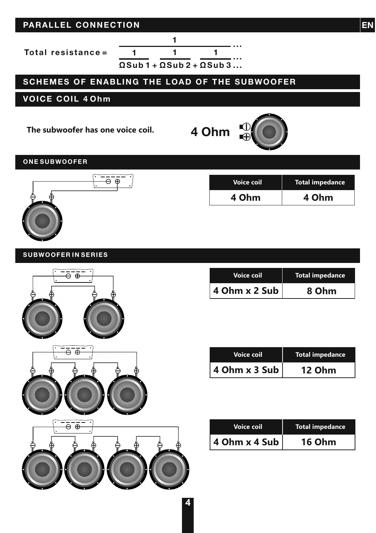### **PARALLEL CONNECTION**

**ΩSub 1 + ΩSub 2 + ΩSub 3 ... Total resistance = 1 1 1 1 ... ...** 

## **SCHEMES OF ENABLING THE LOAD OF THE SUBWOOFER**

#### **VOICE COIL 4 Ohm**

**The subwoofer has one voice coil.**

# **4 Ohm**

**ONE SUBWOOFER**



| Voice coil | Total impedance |
|------------|-----------------|
| 4 Ohm      | 4 Ohm           |

#### **SUBWOOFER IN SERIES**



| <b>Voice coil</b> | <b>Total impedance</b> |
|-------------------|------------------------|
| 4 Ohm x 2 Sub     | 8 Ohm                  |

| <b>Voice coil</b> | Total impedance |
|-------------------|-----------------|
| 4 Ohm x 3 Sub     | 12 Ohm          |

| <b>Voice coil</b> | <b>Total impedance</b> |
|-------------------|------------------------|
| 4 Ohm x 4 Sub     | <b>16 Ohm</b>          |

**4**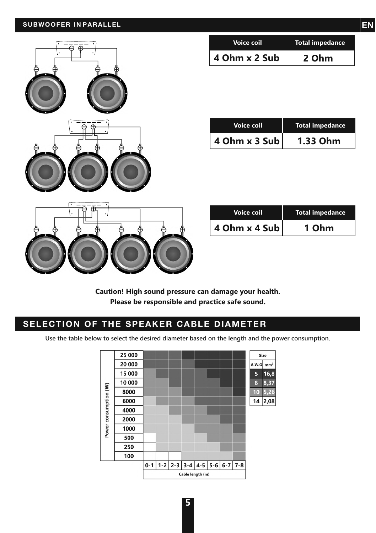

| <b>Voice coil</b> | <b>Total impedance</b> |
|-------------------|------------------------|
| 4 Ohm x 2 Sub     | 2 Ohm                  |

| <b>Voice coil</b> | <b>Total impedance</b> |
|-------------------|------------------------|
| 4 Ohm $x$ 3 Sub   | 1.33 Ohm               |

| <b>Voice coil</b> | <b>Total impedance</b> |
|-------------------|------------------------|
| 4 Ohm x 4 Sub     | 1 Ohm                  |

**Caution! High sound pressure can damage your health. Please be responsible and practice safe sound.**

#### **SELECTION OF THE SPEAKER CABLE DIAMETER**

**Use the table below to select the desired diameter based on the length and the power consumption.**

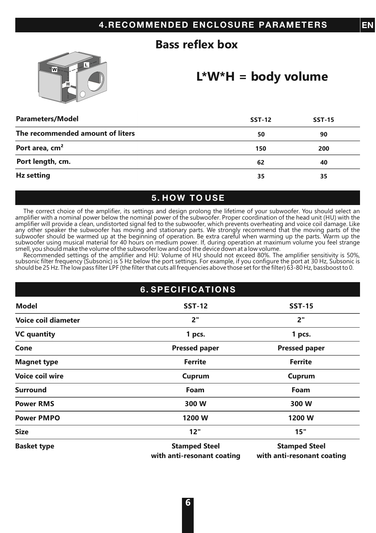## **Bass reflex box**



## **L\*W\*H = body volume**

**EN**

| <b>Parameters/Model</b>          | <b>SST-12</b> | <b>SST-15</b> |
|----------------------------------|---------------|---------------|
| The recommended amount of liters | 50            | 90            |
| Port area, cm <sup>2</sup>       | 150           | 200           |
| Port length, cm.                 | 62            | 40            |
| Hz setting                       | 35            | 35            |

#### **5. HOW TO USE**

The correct choice of the amplifier, its settings and design prolong the lifetime of your subwoofer. You should select an amplifier with a nominal power below the nominal power of the subwoofer. Proper coordination of the head unit (HU) with the amplifier will provide a clean, undistorted signal fed to the subwoofer, which prevents overheating and voice coil damage. Like<br>any other speaker the subwoofer has moving and stationary parts. We strongly recommend that th subwoofer using musical material for 40 hours on medium power. If, during operation at maximum volume you feel strange

smell, you should make the volume of the subwoofer low and cool the device down at a low volume. Recommended settings of the amplifier and HU: Volume of HU should not exceed 80%. The amplifier sensitivity is 50%, subsonic filter frequency (Subsonic) is 5 Hz below the port settings. For example, if you configure the port at 30 Hz, Subsonic is<br>should be 25 Hz. The low pass filter LPF (the filter that cuts all frequencies above those

| <b>6. SPECIFICATIONS</b>   |                                                    |                                                    |
|----------------------------|----------------------------------------------------|----------------------------------------------------|
| <b>Model</b>               | <b>SST-12</b>                                      | <b>SST-15</b>                                      |
| <b>Voice coil diameter</b> | 2"                                                 | 2"                                                 |
| <b>VC</b> quantity         | 1 pcs.                                             | 1 pcs.                                             |
| Cone                       | <b>Pressed paper</b>                               | <b>Pressed paper</b>                               |
| <b>Magnet type</b>         | <b>Ferrite</b>                                     | Ferrite                                            |
| Voice coil wire            | Cuprum                                             | Cuprum                                             |
| <b>Surround</b>            | Foam                                               | Foam                                               |
| <b>Power RMS</b>           | 300 W                                              | 300 W                                              |
| <b>Power PMPO</b>          | 1200 W                                             | 1200 W                                             |
| <b>Size</b>                | 12"                                                | 15"                                                |
| <b>Basket type</b>         | <b>Stamped Steel</b><br>with anti-resonant coating | <b>Stamped Steel</b><br>with anti-resonant coating |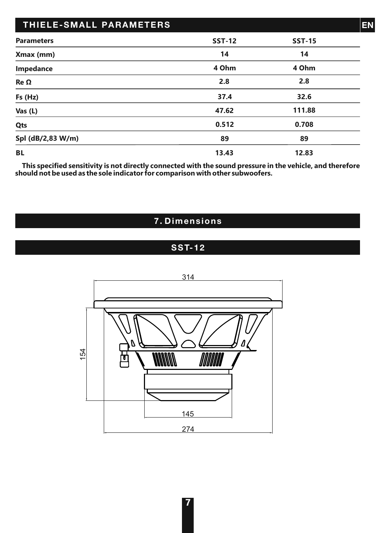| THIELE-SMALL PARAMETERS |               |               | EN |
|-------------------------|---------------|---------------|----|
| <b>Parameters</b>       | <b>SST-12</b> | <b>SST-15</b> |    |
| Xmax (mm)               | 14            | 14            |    |
| Impedance               | 4 Ohm         | 4 Ohm         |    |
| Re Ω                    | 2.8           | 2.8           |    |
| Fs (Hz)                 | 37.4          | 32.6          |    |
| Vas (L)                 | 47.62         | 111.88        |    |
| Qts                     | 0.512         | 0.708         |    |
| Spl (dB/2,83 W/m)       | 89            | 89            |    |
| <b>BL</b>               | 13.43         | 12.83         |    |

**This specified sensitivity is not directly connected with the sound pressure in the vehicle, and therefore should not be used as the sole indicator for comparison with other subwoofers.**

## **7. Dimensions**

## **SST-12**

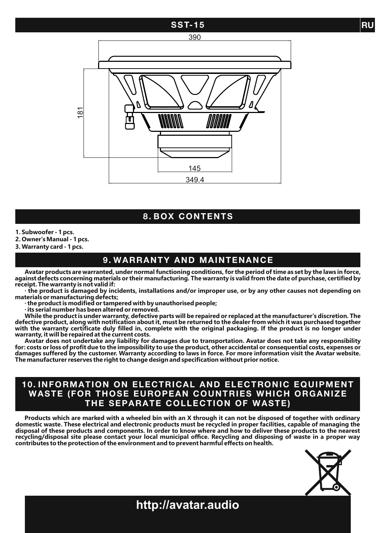#### **SST-15 RU**





#### **8. BOX CONTENTS**

**1. Subwoofer - 1 pcs.**

**2. Owner's Manual - 1 pcs.**

**3. Warranty card - 1 pcs.**

#### **9. WARRANTY AND MAINTENANCE**

**Avatar products are warranted, under normal functioning conditions, for the period of time as set by the laws in force, against defects concerning materials or their manufacturing. The warranty is valid from the date of purchase, certified by receipt. The warranty is not valid if:**

**∙ the product is damaged by incidents, installations and/or improper use, or by any other causes not depending on materials or manufacturing defects;**

**∙ the product is modified or tampered with by unauthorised people;**

**∙ its serial number has been altered or removed.**

**While the product is under warranty, defective parts will be repaired or replaced at the manufacturer's discretion. The defective product, along with notification about it, must be returned to the dealer from which it was purchased together with the warranty certificate duly filled in, complete with the original packaging. If the product is no longer under warranty, it will be repaired at the current costs.**

Avatar does not undertake any liability for damages due to transportation. Avatar does not take any responsibility<br>for: costs or loss of profit due to the impossibility to use the product, other accidental or consequential **damages suffered by the customer. Warranty according to laws in force. For more information visit the Avatar website. The manufacturer reserves the right to change design and specification without prior notice.**

#### **10. INFORMATION ON ELECTRICAL AND ELECTRONIC EQUIPMENT WASTE (FOR THOSE EUROPEAN COUNTRIES WHICH ORGANIZE THE SEPARATE COLLECTION OF WASTE)**

**Products which are marked with a wheeled bin with an X through it can not be disposed of together with ordinary domestic waste. These electrical and electronic products must be recycled in proper facilities, capable of managing the disposal of these products and components. In order to know where and how to deliver these products to the nearest recycling/disposal site please contact your local municipal office. Recycling and disposing of waste in a proper way contributes to the protection of the environment and to prevent harmful effects on health.**



**http://avatar.audio**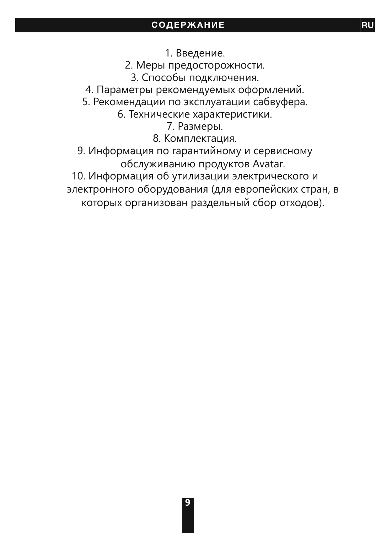1. Введение.

2. Меры предосторожности.

3. Способы подключения.

4. Параметры рекомендуемых оформлений.

5. Рекомендации по эксплуатации сабвуфера.

6. Технические характеристики.

7. Размеры.

8. Комплектация.

9. Информация по гарантийному и сервисному обслуживанию продуктов Avatar.

10. Информация об утилизации электрического и электронного оборудования (для европейских стран, в которых организован раздельный сбор отходов).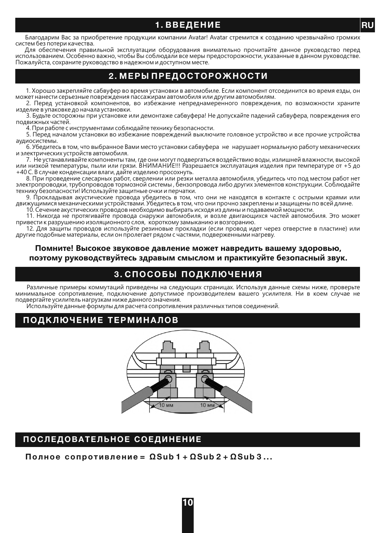#### **1. ВВЕДЕНИЕ**

Благодарим Вас за приобретение продукции компании Avatar! Avatar стремится к созданию чрезвычайно громких систем без потери качества.

Для обеспечения правильной эксплуатации оборудования внимательно прочитайте данное руководство перед использованием. Особенно важно, чтобы Вы соблюдали все меры предосторожности, указанные в данном руководстве. Пожалуйста, сохраните руководство в надежном и доступном месте.

#### **2. МЕРЫ ПРЕДОСТОРОЖНОСТИ**

1. Хорошо закрепляйте сабвуфер во время установки в автомобиле. Если компонент отсоединится во время езды, он может нанести серьезные повреждения пассажирам автомобиля или другим автомобилям.

2. Перед установкой компонентов, во избежание непреднамеренного повреждения, по возможности храните изделие в упаковке до начала установки.

3. Будьте осторожны при установке или демонтаже сабвуфера! Не допускайте падений сабвуфера, повреждения его подвижных частей.

4. При работе с инструментами соблюдайте технику безопасности.

5. Перед началом установки во избежание повреждений выключите головное устройство и все прочие устройства аудиосистемы.

6. Убедитесь в том, что выбранное Вами место установки сабвуфера не нарушает нормальную работу механических и электрических устройств автомобиля.

7. Не устанавливайте компоненты там, где они могут подвергаться воздействию воды, излишней влажности, высокой или низкой температуры, пыли или грязи. ВНИМАНИЕ!!! Разрешается эксплуатация изделия при температуре от +5 до +40 С. В случае конденсации влаги, дайте изделию просохнуть.

8. При проведение слесарных работ, сверлении или резки металла автомобиля, убедитесь что под местом работ нет электропроводки, трубопроводов тормозной системы , бензопровода либо других элементов конструкции. Соблюдайте технику безопасности! Используйте защитные очки и перчатки.

9. Прокладывая акустические провода убедитесь в том, что они не находятся в контакте с острыми краями или движущимися механическими устройствами. Убедитесь в том, что они прочно закреплены и защищены по всей длине.

10. Сечение акустических проводов необходимо выбирать исходя из длины и подаваемой мощности.

11. Никогда не протягивайте провода снаружи автомобиля, и возле двигающихся частей автомобиля. Это может привести к разрушению изоляционного слоя, короткому замыканию и возгоранию.

12. Для защиты проводов используйте резиновые прокладки (если провод идет через отверстие в пластине) или другие подобные материалы, если он пролегает рядом с частями, подверженными нагреву.

#### **Помните! Высокое звуковое давление может навредить вашему здоровью, поэтому руководствуйтесь здравым смыслом и практикуйте безопасный звук.**

#### **3. СПОСОБЫ ПОДКЛЮЧЕНИЯ**

Различные примеры коммутаций приведены на следующих страницах. Используя данные схемы ниже, проверьте минимальное сопротивление, подключение допустимое производителем вашего усилителя. Ни в коем случае не подвергайте усилитель нагрузкам ниже данного значения.

Используйте данные формулы для расчета сопротивления различных типов соединений.

#### **ПОДКЛЮЧЕНИЕ ТЕРМИНАЛОВ**



#### **ПОСЛЕДОВАТЕЛЬНОЕ СОЕДИНЕНИЕ**

**Полное сопротивление = ΩSub 1 + ΩSub 2 + ΩSub 3 ...**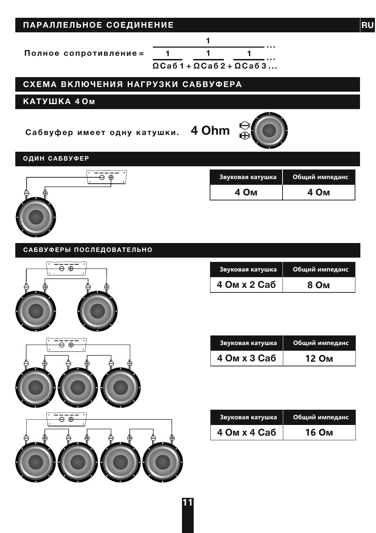| ПАРАЛЛЕЛЬНОЕ СОЕДИНЕНИЕ            |                                                                                                    | <b>RU</b>      |
|------------------------------------|----------------------------------------------------------------------------------------------------|----------------|
| 1<br>Полное сопротивление =        | 1<br>1<br>1<br>$\Omega$ Ca <sub>6</sub> 1 + $\Omega$ Ca <sub>6</sub> 2 + $\Omega$ Ca <sub>63</sub> |                |
| СХЕМА ВКЛЮЧЕНИЯ НАГРУЗКИ САБВУФЕРА |                                                                                                    |                |
| КАТУШКА 40м                        |                                                                                                    |                |
| Сабвуфер имеет одну катушки. 4 Ohm | ⊕                                                                                                  |                |
| ОДИН САБВУФЕР                      |                                                                                                    |                |
| ⊖⊕                                 | Звуковая катушка                                                                                   | Общий импеданс |
|                                    | 4 OM                                                                                               | 4 Ом           |
|                                    |                                                                                                    |                |
| САБВУФЕРЫ ПОСЛЕДОВАТЕЛЬНО          |                                                                                                    |                |
| <u>e e.</u>                        | Звуковая катушка                                                                                   | Общий импеданс |
|                                    | 4 Ом х 2 Саб                                                                                       | 8 Ом           |
|                                    |                                                                                                    |                |
| $\overline{\Theta^-\Theta^-}$      | Звуковая катушка                                                                                   | Общий импеданс |
|                                    | 4 Ом х 3 Саб                                                                                       | 12 Ом          |
|                                    |                                                                                                    |                |
| $\Theta$ $\Theta$                  | Звуковая катушка                                                                                   | Общий импеданс |
|                                    | 4 Ом х 4 Саб                                                                                       | 16 Ом          |
|                                    |                                                                                                    |                |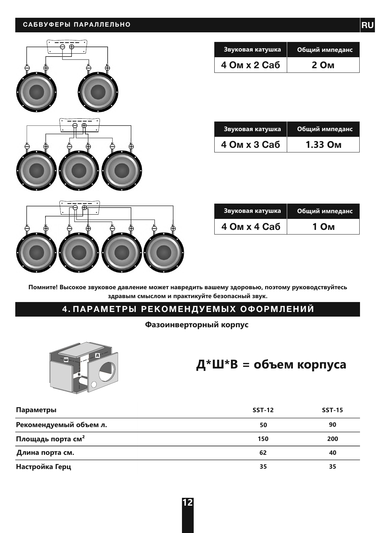#### **САБВУФЕРЫ ПАРАЛЛЕЛЬНО**



| Звуковая катушка | Общий импеданс |
|------------------|----------------|
| 4 Ом х 2 Саб     | 2 Ом           |

| Звуковая катушка | Общий импеданс |
|------------------|----------------|
| 4 Ом х 3 Саб     | 1.33 Ом        |

| Звуковая катушка | Общий импеданс |
|------------------|----------------|
| 4 Ом х 4 Саб     | 1 Ом           |

**Помните! Высокое звуковое давление может навредить вашему здоровью, поэтому руководствуйтесь здравым смыслом и практикуйте безопасный звук.**

#### **4. ПАРАМЕТРЫ РЕКОМЕНДУЕМЫХ ОФОРМЛЕНИЙ**

#### **Фазоинверторный корпус**



# **Д\*Ш\*В = объем корпуса**

| Параметры                     | <b>SST-12</b> | <b>SST-15</b> |
|-------------------------------|---------------|---------------|
| Рекомендуемый объем л.        | 50            | 90            |
| Площадь порта см <sup>2</sup> | 150           | 200           |
| Длина порта см.               | 62            | 40            |
| Настройка Герц                | 35            | 35            |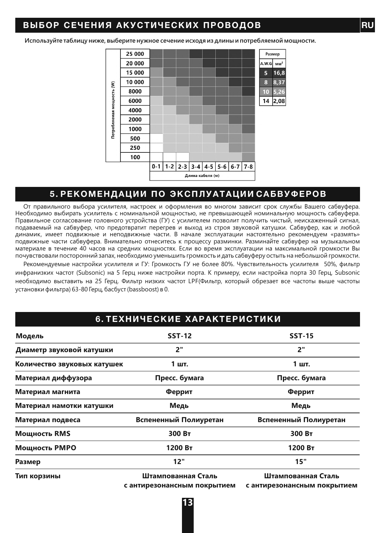#### **ВЫБОР СЕЧЕНИЯ АКУСТИЧЕСКИХ ПРОВОДОВ RU**

**Используйте таблицу ниже, выберите нужное сечение исходя из длины и потребляемой мощности.**



#### **5. РЕКОМЕНДАЦИИ ПО ЭКСПЛУАТАЦИИ САБВУФЕРОВ**

От правильного выбора усилителя, настроек и оформления во многом зависит срок службы Вашего сабвуфера. Необходимо выбирать усилитель с номинальной мощностью, не превышающей номинальную мощность сабвуфера. Правильное согласование головного устройства (ГУ) с усилителем позволит получить чистый, неискаженный сигнал, подаваемый на сабвуфер, что предотвратит перегрев и выход из строя звуковой катушки. Сабвуфер, как и любой динамик, имеет подвижные и неподвижные части. В начале эксплуатации настоятельно рекомендуем «размять» подвижные части сабвуфера. Внимательно отнеситесь к процессу разминки. Разминайте сабвуфер на музыкальном материале в течение 40 часов на средних мощностях. Если во время эксплуатации на максимальной громкости Вы почувствовали посторонний запах, необходимо уменьшить громкость и дать сабвуферу остыть на небольшой громкости.

Рекомендуемые настройки усилителя и ГУ: Громкость ГУ не более 80%. Чувствительность усилителя 50%, фильтр инфранизких частот (Subsonic) на 5 Герц ниже настройки порта. К примеру, если настройка порта 30 Герц, Subsonic необходимо выставить на 25 Герц. Фильтр низких частот LPF(Фильтр, который обрезает все частоты выше частоты установки фильтра) 63-80 Герц, басбуст (bassboost) в 0.

#### **6. ТЕХНИЧЕСКИЕ ХАРАКТЕРИСТИКИ**

| Модель                      | <b>SST-12</b>                                     | <b>SST-15</b>                                     |  |
|-----------------------------|---------------------------------------------------|---------------------------------------------------|--|
| Диаметр звуковой катушки    | 2"                                                | 2"                                                |  |
| Количество звуковых катушек | 1 шт.                                             | 1 шт.                                             |  |
| Материал диффузора          | Пресс. бумага                                     | Пресс. бумага                                     |  |
| Материал магнита            | Феррит                                            | Феррит                                            |  |
| Материал намотки катушки    | Медь                                              | Медь                                              |  |
| Материал подвеса            | Вспененный Полиуретан                             | Вспененный Полиуретан                             |  |
| Мощность RMS                | 300 BT                                            | 300 BT                                            |  |
| Мощность РМРО               | 1200 BT                                           | 1200 BT                                           |  |
| Размер                      | 12"                                               | 15"                                               |  |
| Тип корзины                 | Штампованная Сталь<br>с антирезонансным покрытием | Штампованная Сталь<br>с антирезонансным покрытием |  |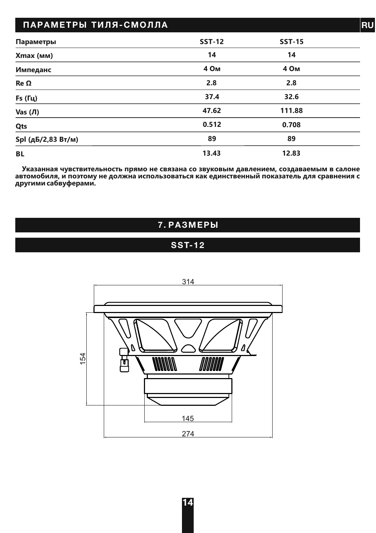| ПАРАМЕТРЫ ТИЛЯ-СМОЛЛА |               |                  | <b>RU</b> |
|-----------------------|---------------|------------------|-----------|
| Параметры             | <b>SST-12</b> | <b>SST-15</b>    |           |
| Xmax (MM)             | 14            | 14               |           |
| Импеданс              | 4 Ом          | 4 O <sub>M</sub> |           |
| Re Ω                  | 2.8           | 2.8              |           |
| <b>Fs</b> (Гц)        | 37.4          | 32.6             |           |
| Vas $($ Л $)$         | 47.62         | 111.88           |           |
| Qts                   | 0.512         | 0.708            |           |
| Spl (дБ/2,83 Вт/м)    | 89            | 89               |           |
| BL.                   | 13.43         | 12.83            |           |

**Указанная чувствительность прямо не связана со звуковым давлением, создаваемым в салоне автомобиля, и поэтому не должна использоваться как единственный показатель для сравнения с другими сабвуферами.**

## **7. РАЗМЕРЫ**

## **SST-12**

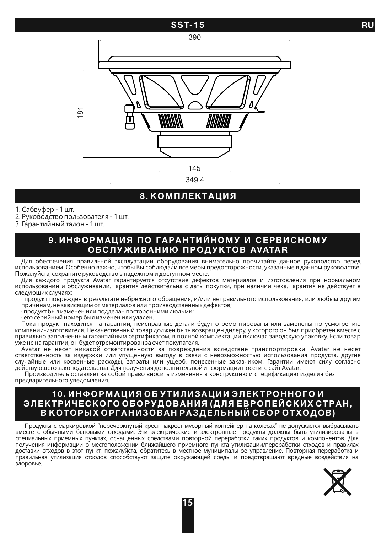#### **SST-15**





#### **8. КОМПЛЕКТАЦИЯ**

1. Сабвуфер - 1 шт.

2. Руководство пользователя - 1 шт.

3. Гарантийный талон - 1 шт.

#### **9. ИНФОРМАЦИЯ ПО ГАРАНТИЙНОМУ И СЕРВИСНОМУ ОБСЛУЖИВАНИЮ ПРОДУКТОВ AVATAR**

Для обеспечения правильной эксплуатации оборудования внимательно прочитайте данное руководство перед использованием. Особенно важно, чтобы Вы соблюдали все меры предосторожности, указанные в данном руководстве. Пожалуйста, сохраните руководство в надежном и доступном месте.

Для каждого продукта Avatar гарантируется отсутствие дефектов материалов и изготовления при нормальном использовании и обслуживании. Гарантия действительна с даты покупки, при наличии чека. Гарантия не действует в следующих случаях:

∙ продукт поврежден в результате небрежного обращения, и/или неправильного использования, или любым другим причинам, не зависящим от материалов или производственных дефектов;

∙ продукт был изменен или подделан посторонними людьми;

∙ его серийный номер был изменен или удален.

Пока продукт находится на гарантии, неисправные детали будут отремонтированы или заменены по усмотрению компании-изготовителя. Некачественный товар должен быть возвращен дилеру, у которого он был приобретен вместе с правильно заполненным гарантийным сертификатом, в полной комплектации включая заводскую упаковку. Если товар уже не на гарантии, он будет отремонтирован за счет покупателя.

Avatar не несет никакой ответственности за повреждения вследствие транспортировки. Avatar не несет ответственность за издержки или упущенную выгоду в связи с невозможностью использования продукта, другие случайные или косвенные расходы, затраты или ущерб, понесенные заказчиком. Гарантии имеют силу согласно действующего законодательства. Для получения дополнительной информации посетите сайт Avatar.

Производитель оставляет за собой право вносить изменения в конструкцию и спецификацию изделия без предварительного уведомления.

#### **10. ИНФОРМАЦИЯ ОБ УТИЛИЗАЦИИ ЭЛЕКТРОННОГО И ЭЛЕКТРИЧЕСКОГО ОБОРУДОВАНИЯ (ДЛЯ ЕВРОПЕЙСКИХ СТРАН, В КОТОРЫХ ОРГАНИЗОВАН РАЗДЕЛЬНЫЙ СБОР ОТХОДОВ)**

Продукты с маркировкой "перечеркнутый крест-накрест мусорный контейнер на колесах" не допускается выбрасывать вместе с обычными бытовыми отходами. Эти электрические и электронные продукты должны быть утилизированы в специальных приемных пунктах, оснащенных средствами повторной переработки таких продуктов и компонентов. Для получения информации о местоположении ближайшего приемного пункта утилизации/переработки отходов и правилах доставки отходов в этот пункт, пожалуйста, обратитесь в местное муниципальное управление. Повторная переработка и правильная утилизация отходов способствуют защите окружающей среды и предотвращают вредные воздействия на здоровье.



**RU**